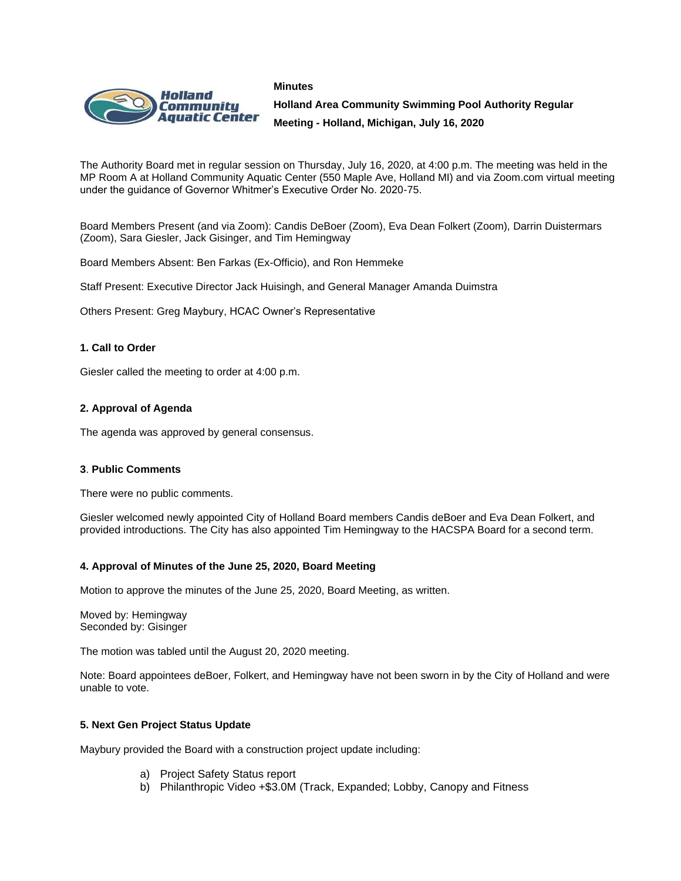#### **Minutes**



**Holland Area Community Swimming Pool Authority Regular Meeting - Holland, Michigan, July 16, 2020**

The Authority Board met in regular session on Thursday, July 16, 2020, at 4:00 p.m. The meeting was held in the MP Room A at Holland Community Aquatic Center (550 Maple Ave, Holland MI) and via Zoom.com virtual meeting under the guidance of Governor Whitmer's Executive Order No. 2020-75.

Board Members Present (and via Zoom): Candis DeBoer (Zoom), Eva Dean Folkert (Zoom), Darrin Duistermars (Zoom), Sara Giesler, Jack Gisinger, and Tim Hemingway

Board Members Absent: Ben Farkas (Ex-Officio), and Ron Hemmeke

Staff Present: Executive Director Jack Huisingh, and General Manager Amanda Duimstra

Others Present: Greg Maybury, HCAC Owner's Representative

## **1. Call to Order**

Giesler called the meeting to order at 4:00 p.m.

## **2. Approval of Agenda**

The agenda was approved by general consensus.

### **3**. **Public Comments**

There were no public comments.

Giesler welcomed newly appointed City of Holland Board members Candis deBoer and Eva Dean Folkert, and provided introductions. The City has also appointed Tim Hemingway to the HACSPA Board for a second term.

### **4. Approval of Minutes of the June 25, 2020, Board Meeting**

Motion to approve the minutes of the June 25, 2020, Board Meeting, as written.

Moved by: Hemingway Seconded by: Gisinger

The motion was tabled until the August 20, 2020 meeting.

Note: Board appointees deBoer, Folkert, and Hemingway have not been sworn in by the City of Holland and were unable to vote.

### **5. Next Gen Project Status Update**

Maybury provided the Board with a construction project update including:

- a) Project Safety Status report
- b) Philanthropic Video +\$3.0M (Track, Expanded; Lobby, Canopy and Fitness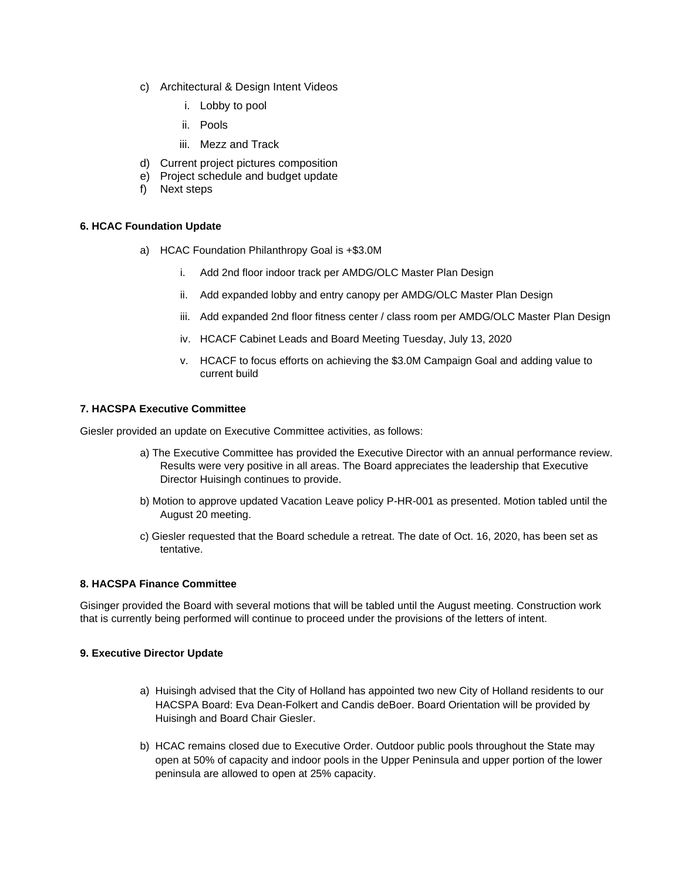- c) Architectural & Design Intent Videos
	- i. Lobby to pool
	- ii. Pools
	- iii. Mezz and Track
- d) Current project pictures composition
- e) Project schedule and budget update
- f) Next steps

## **6. HCAC Foundation Update**

- a) HCAC Foundation Philanthropy Goal is +\$3.0M
	- i. Add 2nd floor indoor track per AMDG/OLC Master Plan Design
	- ii. Add expanded lobby and entry canopy per AMDG/OLC Master Plan Design
	- iii. Add expanded 2nd floor fitness center / class room per AMDG/OLC Master Plan Design
	- iv. HCACF Cabinet Leads and Board Meeting Tuesday, July 13, 2020
	- v. HCACF to focus efforts on achieving the \$3.0M Campaign Goal and adding value to current build

## **7. HACSPA Executive Committee**

Giesler provided an update on Executive Committee activities, as follows:

- a) The Executive Committee has provided the Executive Director with an annual performance review. Results were very positive in all areas. The Board appreciates the leadership that Executive Director Huisingh continues to provide.
- b) Motion to approve updated Vacation Leave policy P-HR-001 as presented. Motion tabled until the August 20 meeting.
- c) Giesler requested that the Board schedule a retreat. The date of Oct. 16, 2020, has been set as tentative.

## **8. HACSPA Finance Committee**

Gisinger provided the Board with several motions that will be tabled until the August meeting. Construction work that is currently being performed will continue to proceed under the provisions of the letters of intent.

## **9. Executive Director Update**

- a) Huisingh advised that the City of Holland has appointed two new City of Holland residents to our HACSPA Board: Eva Dean-Folkert and Candis deBoer. Board Orientation will be provided by Huisingh and Board Chair Giesler.
- b) HCAC remains closed due to Executive Order. Outdoor public pools throughout the State may open at 50% of capacity and indoor pools in the Upper Peninsula and upper portion of the lower peninsula are allowed to open at 25% capacity.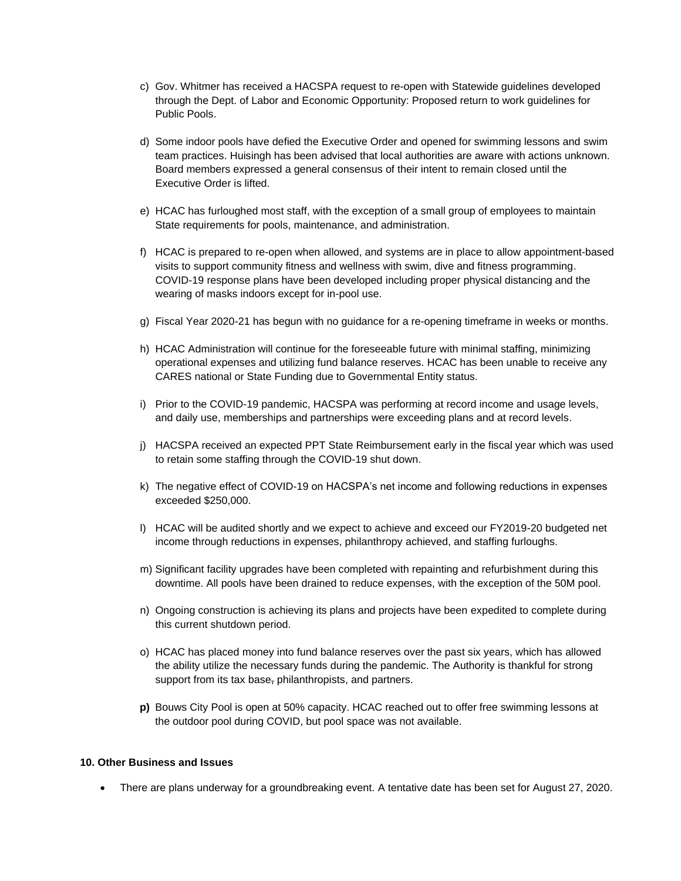- c) Gov. Whitmer has received a HACSPA request to re-open with Statewide guidelines developed through the Dept. of Labor and Economic Opportunity: Proposed return to work guidelines for Public Pools.
- d) Some indoor pools have defied the Executive Order and opened for swimming lessons and swim team practices. Huisingh has been advised that local authorities are aware with actions unknown. Board members expressed a general consensus of their intent to remain closed until the Executive Order is lifted.
- e) HCAC has furloughed most staff, with the exception of a small group of employees to maintain State requirements for pools, maintenance, and administration.
- f) HCAC is prepared to re-open when allowed, and systems are in place to allow appointment-based visits to support community fitness and wellness with swim, dive and fitness programming. COVID-19 response plans have been developed including proper physical distancing and the wearing of masks indoors except for in-pool use.
- g) Fiscal Year 2020-21 has begun with no guidance for a re-opening timeframe in weeks or months.
- h) HCAC Administration will continue for the foreseeable future with minimal staffing, minimizing operational expenses and utilizing fund balance reserves. HCAC has been unable to receive any CARES national or State Funding due to Governmental Entity status.
- i) Prior to the COVID-19 pandemic, HACSPA was performing at record income and usage levels, and daily use, memberships and partnerships were exceeding plans and at record levels.
- j) HACSPA received an expected PPT State Reimbursement early in the fiscal year which was used to retain some staffing through the COVID-19 shut down.
- k) The negative effect of COVID-19 on HACSPA's net income and following reductions in expenses exceeded \$250,000.
- l) HCAC will be audited shortly and we expect to achieve and exceed our FY2019-20 budgeted net income through reductions in expenses, philanthropy achieved, and staffing furloughs.
- m) Significant facility upgrades have been completed with repainting and refurbishment during this downtime. All pools have been drained to reduce expenses, with the exception of the 50M pool.
- n) Ongoing construction is achieving its plans and projects have been expedited to complete during this current shutdown period.
- o) HCAC has placed money into fund balance reserves over the past six years, which has allowed the ability utilize the necessary funds during the pandemic. The Authority is thankful for strong support from its tax base, philanthropists, and partners.
- **p)** Bouws City Pool is open at 50% capacity. HCAC reached out to offer free swimming lessons at the outdoor pool during COVID, but pool space was not available.

### **10. Other Business and Issues**

• There are plans underway for a groundbreaking event. A tentative date has been set for August 27, 2020.